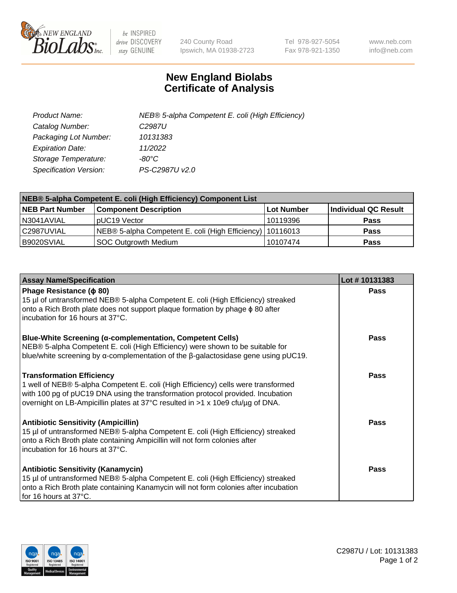

 $be$  INSPIRED drive DISCOVERY stay GENUINE

240 County Road Ipswich, MA 01938-2723 Tel 978-927-5054 Fax 978-921-1350 www.neb.com info@neb.com

## **New England Biolabs Certificate of Analysis**

| Product Name:           | NEB® 5-alpha Competent E. coli (High Efficiency) |
|-------------------------|--------------------------------------------------|
| Catalog Number:         | C <sub>2987</sub> U                              |
| Packaging Lot Number:   | 10131383                                         |
| <b>Expiration Date:</b> | 11/2022                                          |
| Storage Temperature:    | -80°C                                            |
| Specification Version:  | PS-C2987U v2.0                                   |

| NEB® 5-alpha Competent E. coli (High Efficiency) Component List |                                                             |            |                      |  |
|-----------------------------------------------------------------|-------------------------------------------------------------|------------|----------------------|--|
| <b>NEB Part Number</b>                                          | <b>Component Description</b>                                | Lot Number | Individual QC Result |  |
| N3041AVIAL                                                      | pUC19 Vector                                                | 10119396   | <b>Pass</b>          |  |
| C2987UVIAL                                                      | NEB® 5-alpha Competent E. coli (High Efficiency)   10116013 |            | <b>Pass</b>          |  |
| B9020SVIAL                                                      | SOC Outgrowth Medium                                        | 10107474   | <b>Pass</b>          |  |

| <b>Assay Name/Specification</b>                                                                                                                                                                                                                                                            | Lot #10131383 |
|--------------------------------------------------------------------------------------------------------------------------------------------------------------------------------------------------------------------------------------------------------------------------------------------|---------------|
| Phage Resistance ( $\phi$ 80)<br>15 µl of untransformed NEB® 5-alpha Competent E. coli (High Efficiency) streaked<br>onto a Rich Broth plate does not support plaque formation by phage $\phi$ 80 after<br>incubation for 16 hours at 37°C.                                                | Pass          |
| <b>Blue-White Screening (α-complementation, Competent Cells)</b><br>NEB® 5-alpha Competent E. coli (High Efficiency) were shown to be suitable for<br>blue/white screening by $\alpha$ -complementation of the $\beta$ -galactosidase gene using pUC19.                                    | Pass          |
| <b>Transformation Efficiency</b><br>1 well of NEB® 5-alpha Competent E. coli (High Efficiency) cells were transformed<br>with 100 pg of pUC19 DNA using the transformation protocol provided. Incubation<br>overnight on LB-Ampicillin plates at 37°C resulted in >1 x 10e9 cfu/µg of DNA. | <b>Pass</b>   |
| <b>Antibiotic Sensitivity (Ampicillin)</b><br>15 µl of untransformed NEB® 5-alpha Competent E. coli (High Efficiency) streaked<br>onto a Rich Broth plate containing Ampicillin will not form colonies after<br>incubation for 16 hours at 37°C.                                           | <b>Pass</b>   |
| <b>Antibiotic Sensitivity (Kanamycin)</b><br>15 µl of untransformed NEB® 5-alpha Competent E. coli (High Efficiency) streaked<br>onto a Rich Broth plate containing Kanamycin will not form colonies after incubation<br>for 16 hours at 37°C.                                             | Pass          |